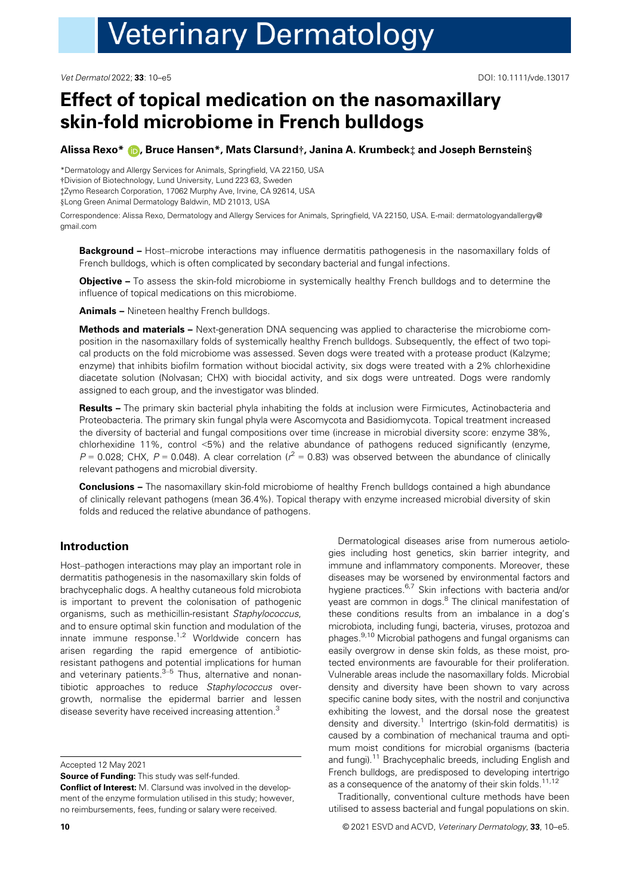Vet Dermatol 2022; 33: 10–e5 DOI: 10.1111/vde.13017

# Effect of topical medication on the nasomaxillary skin-fold microbiome in French bulldogs

## Alissa Rexo\* (D, Bruce Hansen\*, Mats Clarsund†, Janina A. Krumbeck‡ and Joseph Bernstein§

\*Dermatology and Allergy Services for Animals, Springfield, VA 22150, USA †Division of Biotechnology, Lund University, Lund 223 63, Sweden ‡Zymo Research Corporation, 17062 Murphy Ave, Irvine, CA 92614, USA §Long Green Animal Dermatology Baldwin, MD 21013, USA

Correspondence: Alissa Rexo, Dermatology and Allergy Services for Animals, Springfield, VA 22150, USA. E-mail: [dermatologyandallergy@](mailto:) [gmail.com](mailto:)

Background - Host-microbe interactions may influence dermatitis pathogenesis in the nasomaxillary folds of French bulldogs, which is often complicated by secondary bacterial and fungal infections.

Objective – To assess the skin-fold microbiome in systemically healthy French bulldogs and to determine the influence of topical medications on this microbiome.

Animals – Nineteen healthy French bulldogs.

Methods and materials – Next-generation DNA sequencing was applied to characterise the microbiome composition in the nasomaxillary folds of systemically healthy French bulldogs. Subsequently, the effect of two topical products on the fold microbiome was assessed. Seven dogs were treated with a protease product (Kalzyme; enzyme) that inhibits biofilm formation without biocidal activity, six dogs were treated with a 2% chlorhexidine diacetate solution (Nolvasan; CHX) with biocidal activity, and six dogs were untreated. Dogs were randomly assigned to each group, and the investigator was blinded.

Results – The primary skin bacterial phyla inhabiting the folds at inclusion were Firmicutes, Actinobacteria and Proteobacteria. The primary skin fungal phyla were Ascomycota and Basidiomycota. Topical treatment increased the diversity of bacterial and fungal compositions over time (increase in microbial diversity score: enzyme 38%, chlorhexidine 11%, control <5%) and the relative abundance of pathogens reduced significantly (enzyme,  $P = 0.028$ ; CHX,  $P = 0.048$ ). A clear correlation ( $r^2 = 0.83$ ) was observed between the abundance of clinically relevant pathogens and microbial diversity.

Conclusions – The nasomaxillary skin-fold microbiome of healthy French bulldogs contained a high abundance of clinically relevant pathogens (mean 36.4%). Topical therapy with enzyme increased microbial diversity of skin folds and reduced the relative abundance of pathogens.

# Introduction

Host–pathogen interactions may play an important role in dermatitis pathogenesis in the nasomaxillary skin folds of brachycephalic dogs. A healthy cutaneous fold microbiota is important to prevent the colonisation of pathogenic organisms, such as methicillin-resistant Staphylococcus, and to ensure optimal skin function and modulation of the innate immune response. $1.2$  Worldwide concern has arisen regarding the rapid emergence of antibioticresistant pathogens and potential implications for human and veterinary patients. $3-5$  Thus, alternative and nonantibiotic approaches to reduce Staphylococcus overgrowth, normalise the epidermal barrier and lessen disease severity have received increasing attention.<sup>3</sup>

Accepted 12 May 2021

Source of Funding: This study was self-funded.

Conflict of Interest: M. Clarsund was involved in the development of the enzyme formulation utilised in this study; however, no reimbursements, fees, funding or salary were received.

Dermatological diseases arise from numerous aetiologies including host genetics, skin barrier integrity, and immune and inflammatory components. Moreover, these diseases may be worsened by environmental factors and hygiene practices.<sup>6,7</sup> Skin infections with bacteria and/or yeast are common in dogs.<sup>8</sup> The clinical manifestation of these conditions results from an imbalance in a dog's microbiota, including fungi, bacteria, viruses, protozoa and phages.9,10 Microbial pathogens and fungal organisms can easily overgrow in dense skin folds, as these moist, protected environments are favourable for their proliferation. Vulnerable areas include the nasomaxillary folds. Microbial density and diversity have been shown to vary across specific canine body sites, with the nostril and conjunctiva exhibiting the lowest, and the dorsal nose the greatest density and diversity.<sup>1</sup> Intertrigo (skin-fold dermatitis) is caused by a combination of mechanical trauma and optimum moist conditions for microbial organisms (bacteria and fungi).<sup>11</sup> Brachycephalic breeds, including English and French bulldogs, are predisposed to developing intertrigo as a consequence of the anatomy of their skin folds.<sup>11,12</sup>

Traditionally, conventional culture methods have been utilised to assess bacterial and fungal populations on skin.

10 **10 CONFIDENTIFY ACCOUNT ACCOUNT ACCOUNT OF ACCOUNT ACCOUNT ACCOUNT ACCOUNT ACCOUNT ACCOUNT ACCOUNT ACCOUNT ACCOUNT ACCOUNT ACCOUNT ACCOUNT ACCOUNT ACCOUNT ACCOUNT ACCOUNT ACCOUNT ACCOUNT ACCOUNT ACCOUNT ACCOUNT ACCOU**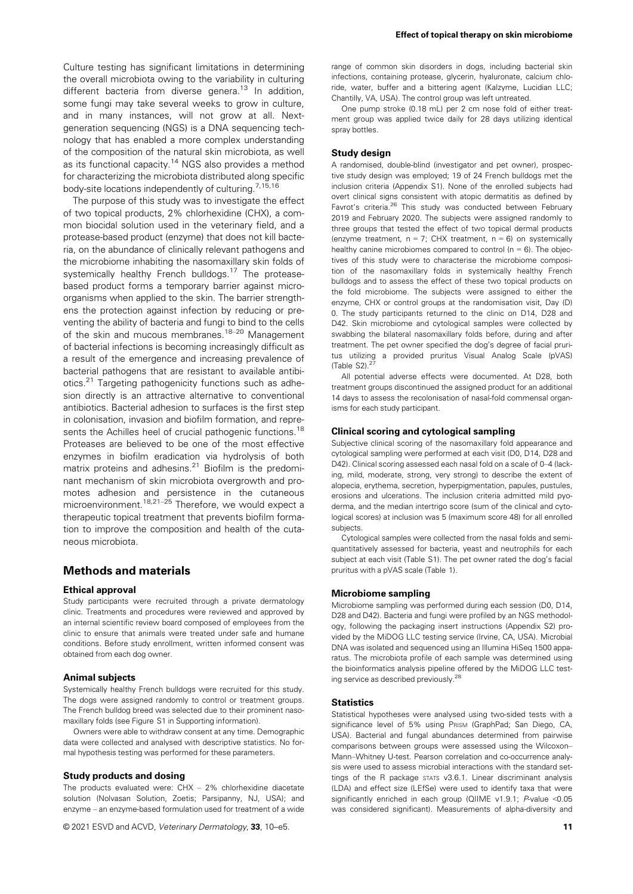Culture testing has significant limitations in determining the overall microbiota owing to the variability in culturing different bacteria from diverse genera.<sup>13</sup> In addition, some fungi may take several weeks to grow in culture, and in many instances, will not grow at all. Nextgeneration sequencing (NGS) is a DNA sequencing technology that has enabled a more complex understanding of the composition of the natural skin microbiota, as well as its functional capacity.<sup>14</sup> NGS also provides a method for characterizing the microbiota distributed along specific body-site locations independently of culturing.<sup>7,15,16</sup>

The purpose of this study was to investigate the effect of two topical products, 2% chlorhexidine (CHX), a common biocidal solution used in the veterinary field, and a protease-based product (enzyme) that does not kill bacteria, on the abundance of clinically relevant pathogens and the microbiome inhabiting the nasomaxillary skin folds of systemically healthy French bulldogs.<sup>17</sup> The proteasebased product forms a temporary barrier against microorganisms when applied to the skin. The barrier strengthens the protection against infection by reducing or preventing the ability of bacteria and fungi to bind to the cells of the skin and mucous membranes.18–<sup>20</sup> Management of bacterial infections is becoming increasingly difficult as a result of the emergence and increasing prevalence of bacterial pathogens that are resistant to available antibiotics.<sup>21</sup> Targeting pathogenicity functions such as adhesion directly is an attractive alternative to conventional antibiotics. Bacterial adhesion to surfaces is the first step in colonisation, invasion and biofilm formation, and represents the Achilles heel of crucial pathogenic functions.<sup>18</sup> Proteases are believed to be one of the most effective enzymes in biofilm eradication via hydrolysis of both matrix proteins and adhesins.21 Biofilm is the predominant mechanism of skin microbiota overgrowth and promotes adhesion and persistence in the cutaneous motes adhesion and persistence in the cutaneous microenvironment.<sup>18,21–25</sup> Therefore, we would expect a therapeutic topical treatment that prevents biofilm formation to improve the composition and health of the cutaneous microbiota.

## Methods and materials

#### Ethical approval

Study participants were recruited through a private dermatology clinic. Treatments and procedures were reviewed and approved by an internal scientific review board composed of employees from the clinic to ensure that animals were treated under safe and humane conditions. Before study enrollment, written informed consent was obtained from each dog owner.

## Animal subjects

Systemically healthy French bulldogs were recruited for this study. The dogs were assigned randomly to control or treatment groups. The French bulldog breed was selected due to their prominent nasomaxillary folds (see Figure S1 in Supporting information).

Owners were able to withdraw consent at any time. Demographic data were collected and analysed with descriptive statistics. No formal hypothesis testing was performed for these parameters.

#### Study products and dosing

The products evaluated were: CHX – 2% chlorhexidine diacetate solution (Nolvasan Solution, Zoetis; Parsipanny, NJ, USA); and enzyme – an enzyme-based formulation used for treatment of a wide

© 2021 ESVD and ACVD, Veterinary Dermatology, 33, 10–e5. 11 and 2021 11 and 2021 12 and 2021 12 and 2021 12 and 2021 12

range of common skin disorders in dogs, including bacterial skin infections, containing protease, glycerin, hyaluronate, calcium chloride, water, buffer and a bittering agent (Kalzyme, Lucidian LLC; Chantilly, VA, USA). The control group was left untreated.

One pump stroke (0.18 mL) per 2 cm nose fold of either treatment group was applied twice daily for 28 days utilizing identical spray bottles.

#### Study design

A randomised, double-blind (investigator and pet owner), prospective study design was employed; 19 of 24 French bulldogs met the inclusion criteria (Appendix S1). None of the enrolled subjects had overt clinical signs consistent with atopic dermatitis as defined by Favrot's criteria.<sup>26</sup> This study was conducted between February 2019 and February 2020. The subjects were assigned randomly to three groups that tested the effect of two topical dermal products (enzyme treatment,  $n = 7$ ; CHX treatment,  $n = 6$ ) on systemically healthy canine microbiomes compared to control ( $n = 6$ ). The objectives of this study were to characterise the microbiome composition of the nasomaxillary folds in systemically healthy French bulldogs and to assess the effect of these two topical products on the fold microbiome. The subjects were assigned to either the enzyme, CHX or control groups at the randomisation visit, Day (D) 0. The study participants returned to the clinic on D14, D28 and D42. Skin microbiome and cytological samples were collected by swabbing the bilateral nasomaxillary folds before, during and after treatment. The pet owner specified the dog's degree of facial pruritus utilizing a provided pruritus Visual Analog Scale (pVAS) (Table S2). $27$ 

All potential adverse effects were documented. At D28, both treatment groups discontinued the assigned product for an additional 14 days to assess the recolonisation of nasal-fold commensal organisms for each study participant.

#### Clinical scoring and cytological sampling

Subjective clinical scoring of the nasomaxillary fold appearance and cytological sampling were performed at each visit (D0, D14, D28 and D42). Clinical scoring assessed each nasal fold on a scale of 0–4 (lacking, mild, moderate, strong, very strong) to describe the extent of alopecia, erythema, secretion, hyperpigmentation, papules, pustules, erosions and ulcerations. The inclusion criteria admitted mild pyoderma, and the median intertrigo score (sum of the clinical and cytological scores) at inclusion was 5 (maximum score 48) for all enrolled subjects.

Cytological samples were collected from the nasal folds and semiquantitatively assessed for bacteria, yeast and neutrophils for each subject at each visit (Table S1). The pet owner rated the dog's facial pruritus with a pVAS scale (Table 1).

#### Microbiome sampling

Microbiome sampling was performed during each session (D0, D14, D28 and D42). Bacteria and fungi were profiled by an NGS methodology, following the packaging insert instructions (Appendix S2) provided by the MiDOG LLC testing service (Irvine, CA, USA). Microbial DNA was isolated and sequenced using an Illumina HiSeq 1500 apparatus. The microbiota profile of each sample was determined using the bioinformatics analysis pipeline offered by the MiDOG LLC testing service as described previously.28

#### **Statistics**

Statistical hypotheses were analysed using two-sided tests with a significance level of 5% using PRISM (GraphPad; San Diego, CA, USA). Bacterial and fungal abundances determined from pairwise comparisons between groups were assessed using the Wilcoxon– Mann–Whitney U-test. Pearson correlation and co-occurrence analysis were used to assess microbial interactions with the standard settings of the R package STATS v3.6.1. Linear discriminant analysis (LDA) and effect size (LEfSe) were used to identify taxa that were significantly enriched in each group (QIIME v1.9.1; P-value <0.05 was considered significant). Measurements of alpha-diversity and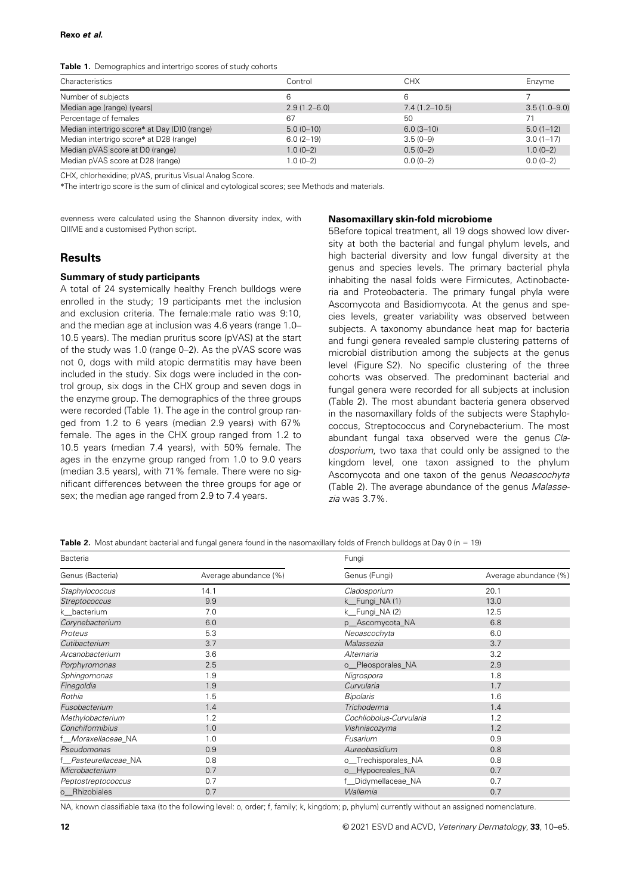#### Rexo et al.

#### Table 1. Demographics and intertrigo scores of study cohorts

| Characteristics                              | Control          | <b>CHX</b>      | Enzvme           |
|----------------------------------------------|------------------|-----------------|------------------|
| Number of subjects                           | 6                | 6               |                  |
| Median age (range) (years)                   | $2.9(1.2 - 6.0)$ | $7.4(1.2-10.5)$ | $3.5(1.0 - 9.0)$ |
| Percentage of females                        | 67               | 50              |                  |
| Median intertrigo score* at Day (D)0 (range) | $5.0(0-10)$      | $6.0(3-10)$     | $5.0(1-12)$      |
| Median intertrigo score* at D28 (range)      | $6.0(2-19)$      | $3.5(0-9)$      | $3.0(1 - 17)$    |
| Median pVAS score at D0 (range)              | $1.0(0-2)$       | $0.5(0-2)$      | $1.0(0-2)$       |
| Median pVAS score at D28 (range)             | $1.0(0-2)$       | $0.0(0-2)$      | $0.0(0-2)$       |

CHX, chlorhexidine; pVAS, pruritus Visual Analog Score.

\*The intertrigo score is the sum of clinical and cytological scores; see Methods and materials.

evenness were calculated using the Shannon diversity index, with QIIME and a customised Python script.

#### Nasomaxillary skin-fold microbiome

## **Results**

#### Summary of study participants

A total of 24 systemically healthy French bulldogs were enrolled in the study; 19 participants met the inclusion and exclusion criteria. The female:male ratio was 9:10, and the median age at inclusion was 4.6 years (range 1.0– 10.5 years). The median pruritus score (pVAS) at the start of the study was 1.0 (range 0–2). As the pVAS score was not 0, dogs with mild atopic dermatitis may have been included in the study. Six dogs were included in the control group, six dogs in the CHX group and seven dogs in the enzyme group. The demographics of the three groups were recorded (Table 1). The age in the control group ranged from 1.2 to 6 years (median 2.9 years) with 67% female. The ages in the CHX group ranged from 1.2 to 10.5 years (median 7.4 years), with 50% female. The ages in the enzyme group ranged from 1.0 to 9.0 years (median 3.5 years), with 71% female. There were no significant differences between the three groups for age or sex; the median age ranged from 2.9 to 7.4 years.

5Before topical treatment, all 19 dogs showed low diversity at both the bacterial and fungal phylum levels, and high bacterial diversity and low fungal diversity at the genus and species levels. The primary bacterial phyla inhabiting the nasal folds were Firmicutes, Actinobacteria and Proteobacteria. The primary fungal phyla were Ascomycota and Basidiomycota. At the genus and species levels, greater variability was observed between subjects. A taxonomy abundance heat map for bacteria and fungi genera revealed sample clustering patterns of microbial distribution among the subjects at the genus level (Figure S2). No specific clustering of the three cohorts was observed. The predominant bacterial and fungal genera were recorded for all subjects at inclusion (Table 2). The most abundant bacteria genera observed in the nasomaxillary folds of the subjects were Staphylococcus, Streptococcus and Corynebacterium. The most abundant fungal taxa observed were the genus Cladosporium, two taxa that could only be assigned to the kingdom level, one taxon assigned to the phylum Ascomycota and one taxon of the genus Neoascochyta (Table 2). The average abundance of the genus Malassezia was 3.7%.

**Table 2.** Most abundant bacterial and fungal genera found in the nasomaxillary folds of French bulldogs at Day 0 (n = 19)

| Bacteria                       |                       | Fungi                   |                       |  |
|--------------------------------|-----------------------|-------------------------|-----------------------|--|
| Genus (Bacteria)               | Average abundance (%) | Genus (Fungi)           | Average abundance (%) |  |
| Staphylococcus                 | 14.1                  | Cladosporium            | 20.1                  |  |
| Streptococcus                  | 9.9                   | k_Fungi_NA(1)           | 13.0                  |  |
| k bacterium                    | 7.0                   | k_Fungi_NA(2)           | 12.5                  |  |
| Corynebacterium                | 6.0                   | p_Ascomycota_NA         | 6.8                   |  |
| Proteus                        | 5.3                   | Neoascochyta            | 6.0                   |  |
| Cutibacterium                  | 3.7                   | Malassezia              | 3.7                   |  |
| Arcanobacterium                | 3.6                   | Alternaria              | 3.2                   |  |
| Porphyromonas                  | 2.5                   | o_Pleosporales_NA       | 2.9                   |  |
| Sphingomonas                   | 1.9                   | Nigrospora              | 1.8                   |  |
| Finegoldia                     | 1.9                   | Curvularia              | 1.7                   |  |
| Rothia                         | 1.5                   | <b>Bipolaris</b>        | 1.6                   |  |
| Fusobacterium                  | 1.4                   | Trichoderma             | 1.4                   |  |
| Methylobacterium               | 1.2                   | Cochliobolus-Curvularia | 1.2                   |  |
| Conchiformibius                | 1.0                   | Vishniacozyma           | 1.2                   |  |
| f_Moraxellaceae_NA             | 1.0                   | Fusarium                | 0.9                   |  |
| Pseudomonas                    | 0.9                   | Aureobasidium           | 0.8                   |  |
| f__ <i>Pasteurellaceae_</i> NA | 0.8                   | o_Trechisporales_NA     | 0.8                   |  |
| Microbacterium                 | 0.7                   | o_Hypocreales_NA        | 0.7                   |  |
| Peptostreptococcus             | 0.7                   | f_Didymellaceae_NA      | 0.7                   |  |
| o_Rhizobiales                  | 0.7                   | Wallemia                | 0.7                   |  |
|                                |                       |                         |                       |  |

NA, known classifiable taxa (to the following level: o, order; f, family; k, kingdom; p, phylum) currently without an assigned nomenclature.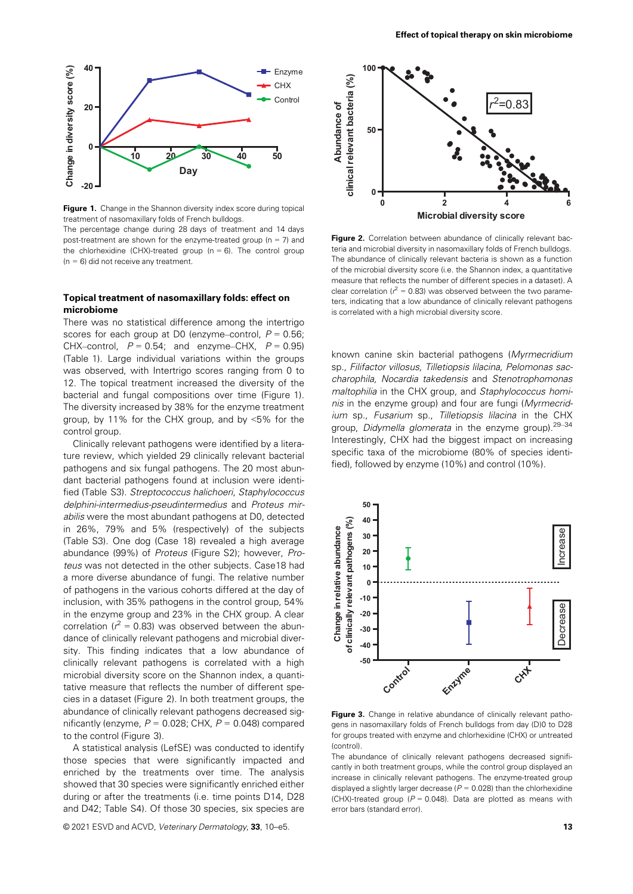

Figure 1. Change in the Shannon diversity index score during topical treatment of nasomaxillary folds of French bulldogs.

The percentage change during 28 days of treatment and 14 days post-treatment are shown for the enzyme-treated group ( $n = 7$ ) and the chlorhexidine (CHX)-treated group ( $n = 6$ ). The control group  $(n = 6)$  did not receive any treatment.

## Topical treatment of nasomaxillary folds: effect on microbiome

There was no statistical difference among the intertrigo scores for each group at D0 (enzyme–control,  $P = 0.56$ ; CHX–control,  $P = 0.54$ ; and enzyme–CHX,  $P = 0.95$ ) (Table 1). Large individual variations within the groups was observed, with Intertrigo scores ranging from 0 to 12. The topical treatment increased the diversity of the bacterial and fungal compositions over time (Figure 1). The diversity increased by 38% for the enzyme treatment group, by 11% for the CHX group, and by <5% for the control group.

Clinically relevant pathogens were identified by a literature review, which yielded 29 clinically relevant bacterial pathogens and six fungal pathogens. The 20 most abundant bacterial pathogens found at inclusion were identified (Table S3). Streptococcus halichoeri, Staphylococcus delphini-intermedius-pseudintermedius and Proteus mirabilis were the most abundant pathogens at D0, detected in 26%, 79% and 5% (respectively) of the subjects (Table S3). One dog (Case 18) revealed a high average abundance (99%) of Proteus (Figure S2); however, Proteus was not detected in the other subjects. Case18 had a more diverse abundance of fungi. The relative number of pathogens in the various cohorts differed at the day of inclusion, with 35% pathogens in the control group, 54% in the enzyme group and 23% in the CHX group. A clear correlation ( $r^2$  = 0.83) was observed between the abundance of clinically relevant pathogens and microbial diversity. This finding indicates that a low abundance of clinically relevant pathogens is correlated with a high microbial diversity score on the Shannon index, a quantitative measure that reflects the number of different species in a dataset (Figure 2). In both treatment groups, the abundance of clinically relevant pathogens decreased significantly (enzyme,  $P = 0.028$ ; CHX,  $P = 0.048$ ) compared to the control (Figure 3).

A statistical analysis (LefSE) was conducted to identify those species that were significantly impacted and enriched by the treatments over time. The analysis showed that 30 species were significantly enriched either during or after the treatments (i.e. time points D14, D28 and D42; Table S4). Of those 30 species, six species are

© 2021 ESVD and ACVD, Veterinary Dermatology, 33, 10–e5. 13 and 13 and 13 and 13 and 13 and 13 and 13 and 13 and 13 and 13 and 13 and 13 and 13 and 13 and 13 and 13 and 13 and 13 and 13 and 13 and 13 and 13 and 13 and 13 a



Figure 2. Correlation between abundance of clinically relevant bacteria and microbial diversity in nasomaxillary folds of French bulldogs. The abundance of clinically relevant bacteria is shown as a function of the microbial diversity score (i.e. the Shannon index, a quantitative measure that reflects the number of different species in a dataset). A clear correlation ( $r^2 = 0.83$ ) was observed between the two parameters, indicating that a low abundance of clinically relevant pathogens is correlated with a high microbial diversity score.

known canine skin bacterial pathogens (Myrmecridium sp., Filifactor villosus, Tilletiopsis lilacina, Pelomonas saccharophila, Nocardia takedensis and Stenotrophomonas maltophilia in the CHX group, and Staphylococcus hominis in the enzyme group) and four are fungi (Myrmecridium sp., Fusarium sp., Tilletiopsis lilacina in the CHX group, Didymella glomerata in the enzyme group).<sup>29-34</sup> Interestingly, CHX had the biggest impact on increasing specific taxa of the microbiome (80% of species identified), followed by enzyme (10%) and control (10%).



Figure 3. Change in relative abundance of clinically relevant pathogens in nasomaxillary folds of French bulldogs from day (D)0 to D28 for groups treated with enzyme and chlorhexidine (CHX) or untreated (control).

The abundance of clinically relevant pathogens decreased significantly in both treatment groups, while the control group displayed an increase in clinically relevant pathogens. The enzyme-treated group displayed a slightly larger decrease ( $P = 0.028$ ) than the chlorhexidine (CHX)-treated group ( $P = 0.048$ ). Data are plotted as means with error bars (standard error).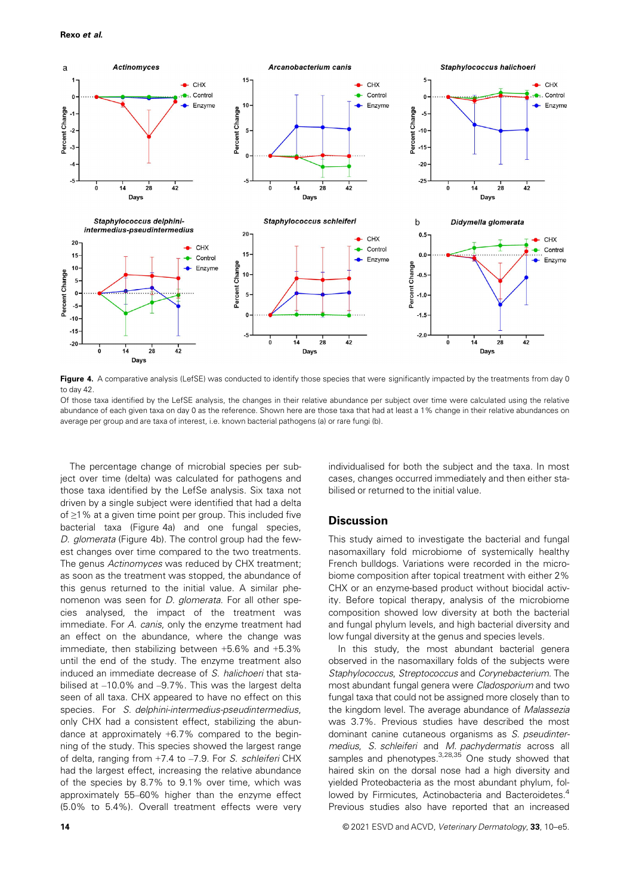

Figure 4. A comparative analysis (LefSE) was conducted to identify those species that were significantly impacted by the treatments from day 0 to day 42.

Of those taxa identified by the LefSE analysis, the changes in their relative abundance per subject over time were calculated using the relative abundance of each given taxa on day 0 as the reference. Shown here are those taxa that had at least a 1% change in their relative abundances on average per group and are taxa of interest, i.e. known bacterial pathogens (a) or rare fungi (b).

The percentage change of microbial species per subject over time (delta) was calculated for pathogens and those taxa identified by the LefSe analysis. Six taxa not driven by a single subject were identified that had a delta of ≥1% at a given time point per group. This included five bacterial taxa (Figure 4a) and one fungal species, D. glomerata (Figure 4b). The control group had the fewest changes over time compared to the two treatments. The genus Actinomyces was reduced by CHX treatment; as soon as the treatment was stopped, the abundance of this genus returned to the initial value. A similar phenomenon was seen for D. glomerata. For all other species analysed, the impact of the treatment was immediate. For A. canis, only the enzyme treatment had an effect on the abundance, where the change was immediate, then stabilizing between +5.6% and +5.3% until the end of the study. The enzyme treatment also induced an immediate decrease of S. halichoeri that stabilised at –10.0% and –9.7%. This was the largest delta seen of all taxa. CHX appeared to have no effect on this species. For S. delphini-intermedius-pseudintermedius, only CHX had a consistent effect, stabilizing the abundance at approximately +6.7% compared to the beginning of the study. This species showed the largest range of delta, ranging from +7.4 to –7.9. For S. schleiferi CHX had the largest effect, increasing the relative abundance of the species by 8.7% to 9.1% over time, which was approximately 55–60% higher than the enzyme effect (5.0% to 5.4%). Overall treatment effects were very

individualised for both the subject and the taxa. In most cases, changes occurred immediately and then either stabilised or returned to the initial value.

## **Discussion**

This study aimed to investigate the bacterial and fungal nasomaxillary fold microbiome of systemically healthy French bulldogs. Variations were recorded in the microbiome composition after topical treatment with either 2% CHX or an enzyme-based product without biocidal activity. Before topical therapy, analysis of the microbiome composition showed low diversity at both the bacterial and fungal phylum levels, and high bacterial diversity and low fungal diversity at the genus and species levels.

In this study, the most abundant bacterial genera observed in the nasomaxillary folds of the subjects were Staphylococcus, Streptococcus and Corynebacterium. The most abundant fungal genera were Cladosporium and two fungal taxa that could not be assigned more closely than to the kingdom level. The average abundance of Malassezia was 3.7%. Previous studies have described the most dominant canine cutaneous organisms as S. pseudintermedius, S. schleiferi and M. pachydermatis across all samples and phenotypes.<sup>3,28,35</sup> One study showed that haired skin on the dorsal nose had a high diversity and yielded Proteobacteria as the most abundant phylum, followed by Firmicutes, Actinobacteria and Bacteroidetes.<sup>4</sup> Previous studies also have reported that an increased

14 © 2021 ESVD and ACVD, Veterinary Dermatology, 33, 10–e5.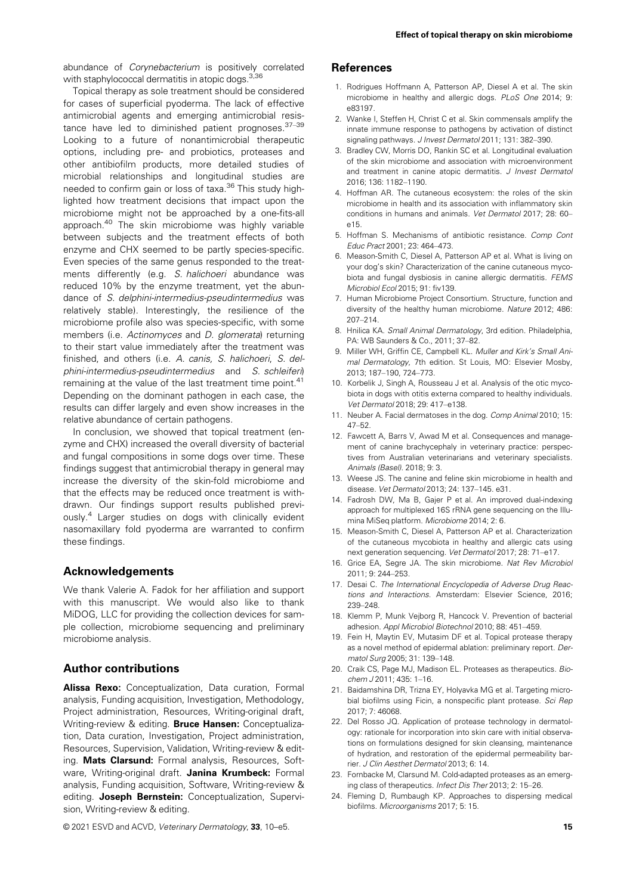abundance of Corynebacterium is positively correlated with staphylococcal dermatitis in atopic dogs.<sup>3,36</sup>

Topical therapy as sole treatment should be considered for cases of superficial pyoderma. The lack of effective antimicrobial agents and emerging antimicrobial resistance have led to diminished patient prognoses.  $37-39$ Looking to a future of nonantimicrobial therapeutic options, including pre- and probiotics, proteases and other antibiofilm products, more detailed studies of microbial relationships and longitudinal studies are needed to confirm gain or loss of taxa.<sup>36</sup> This study highlighted how treatment decisions that impact upon the microbiome might not be approached by a one-fits-all approach.<sup>40</sup> The skin microbiome was highly variable between subjects and the treatment effects of both enzyme and CHX seemed to be partly species-specific. Even species of the same genus responded to the treatments differently (e.g. S. halichoeri abundance was reduced 10% by the enzyme treatment, yet the abundance of S. delphini-intermedius-pseudintermedius was relatively stable). Interestingly, the resilience of the microbiome profile also was species-specific, with some members (i.e. Actinomyces and D. glomerata) returning to their start value immediately after the treatment was finished, and others (i.e. A. canis, S. halichoeri, S. delphini-intermedius-pseudintermedius and S. schleiferi) remaining at the value of the last treatment time point.<sup>41</sup> Depending on the dominant pathogen in each case, the results can differ largely and even show increases in the relative abundance of certain pathogens.

In conclusion, we showed that topical treatment (enzyme and CHX) increased the overall diversity of bacterial and fungal compositions in some dogs over time. These findings suggest that antimicrobial therapy in general may increase the diversity of the skin-fold microbiome and that the effects may be reduced once treatment is withdrawn. Our findings support results published previously.<sup>4</sup> Larger studies on dogs with clinically evident nasomaxillary fold pyoderma are warranted to confirm these findings.

### Acknowledgements

We thank Valerie A. Fadok for her affiliation and support with this manuscript. We would also like to thank MiDOG, LLC for providing the collection devices for sample collection, microbiome sequencing and preliminary microbiome analysis.

## Author contributions

Alissa Rexo: Conceptualization, Data curation, Formal analysis, Funding acquisition, Investigation, Methodology, Project administration, Resources, Writing-original draft, Writing-review & editing. Bruce Hansen: Conceptualization, Data curation, Investigation, Project administration, Resources, Supervision, Validation, Writing-review & editing. Mats Clarsund: Formal analysis, Resources, Software, Writing-original draft. Janina Krumbeck: Formal analysis, Funding acquisition, Software, Writing-review & editing. Joseph Bernstein: Conceptualization, Supervision, Writing-review & editing.

© 2021 ESVD and ACVD, Veterinary Dermatology, 33, 10–e5. 15 and 15 and 15 and 15 and 15 and 15 and 15 and 15 and 15 and 15 and 15 and 15 and 15 and 15 and 16 and 16 and 16 and 16 and 16 and 16 and 16 and 16 and 16 and 16 a

### References

- 1. Rodrigues Hoffmann A, Patterson AP, Diesel A et al. The skin microbiome in healthy and allergic dogs. PLoS One 2014; 9: e83197.
- 2. Wanke I, Steffen H, Christ C et al. Skin commensals amplify the innate immune response to pathogens by activation of distinct signaling pathways. J Invest Dermatol 2011; 131: 382–390.
- 3. Bradley CW, Morris DO, Rankin SC et al. Longitudinal evaluation of the skin microbiome and association with microenvironment and treatment in canine atopic dermatitis. J Invest Dermatol 2016; 136: 1182–1190.
- 4. Hoffman AR. The cutaneous ecosystem: the roles of the skin microbiome in health and its association with inflammatory skin conditions in humans and animals. Vet Dermatol 2017; 28: 60– e15.
- 5. Hoffman S. Mechanisms of antibiotic resistance. Comp Cont Educ Pract 2001; 23: 464–473.
- 6. Meason-Smith C, Diesel A, Patterson AP et al. What is living on your dog's skin? Characterization of the canine cutaneous mycobiota and fungal dysbiosis in canine allergic dermatitis. FEMS Microbiol Ecol 2015; 91: fiv139.
- 7. Human Microbiome Project Consortium. Structure, function and diversity of the healthy human microbiome. Nature 2012; 486: 207–214.
- 8. Hnilica KA. Small Animal Dermatology, 3rd edition. Philadelphia, PA: WB Saunders & Co., 2011; 37–82.
- 9. Miller WH, Griffin CE, Campbell KL. Muller and Kirk's Small Animal Dermatology, 7th edition. St Louis, MO: Elsevier Mosby, 2013; 187–190, 724–773.
- 10. Korbelik J, Singh A, Rousseau J et al. Analysis of the otic mycobiota in dogs with otitis externa compared to healthy individuals. Vet Dermatol 2018; 29: 417–e138.
- 11. Neuber A. Facial dermatoses in the dog. Comp Animal 2010; 15: 47–52.
- 12. Fawcett A, Barrs V, Awad M et al. Consequences and management of canine brachycephaly in veterinary practice: perspectives from Australian veterinarians and veterinary specialists. Animals (Basel). 2018; 9: 3.
- 13. Weese JS. The canine and feline skin microbiome in health and disease. Vet Dermatol 2013; 24: 137–145. e31.
- 14. Fadrosh DW, Ma B, Gajer P et al. An improved dual-indexing approach for multiplexed 16S rRNA gene sequencing on the Illumina MiSeq platform. Microbiome 2014; 2: 6.
- 15. Meason-Smith C, Diesel A, Patterson AP et al. Characterization of the cutaneous mycobiota in healthy and allergic cats using next generation sequencing. Vet Dermatol 2017; 28: 71–e17.
- 16. Grice EA, Segre JA. The skin microbiome. Nat Rev Microbiol 2011; 9: 244–253.
- 17. Desai C. The International Encyclopedia of Adverse Drug Reactions and Interactions. Amsterdam: Elsevier Science, 2016; 239–248.
- 18. Klemm P, Munk Vejborg R, Hancock V. Prevention of bacterial adhesion. Appl Microbiol Biotechnol 2010; 88: 451–459.
- 19. Fein H, Maytin EV, Mutasim DF et al. Topical protease therapy as a novel method of epidermal ablation: preliminary report. Dermatol Surg 2005; 31: 139–148.
- 20. Craik CS, Page MJ, Madison EL. Proteases as therapeutics. Biochem J 2011; 435: 1-16.
- 21. Baidamshina DR, Trizna EY, Holyavka MG et al. Targeting microbial biofilms using Ficin, a nonspecific plant protease. Sci Rep 2017; 7: 46068.
- 22. Del Rosso JQ. Application of protease technology in dermatology: rationale for incorporation into skin care with initial observations on formulations designed for skin cleansing, maintenance of hydration, and restoration of the epidermal permeability barrier. J Clin Aesthet Dermatol 2013; 6: 14.
- 23. Fornbacke M, Clarsund M. Cold-adapted proteases as an emerging class of therapeutics. Infect Dis Ther 2013; 2: 15–26.
- 24. Fleming D, Rumbaugh KP. Approaches to dispersing medical biofilms. Microorganisms 2017; 5: 15.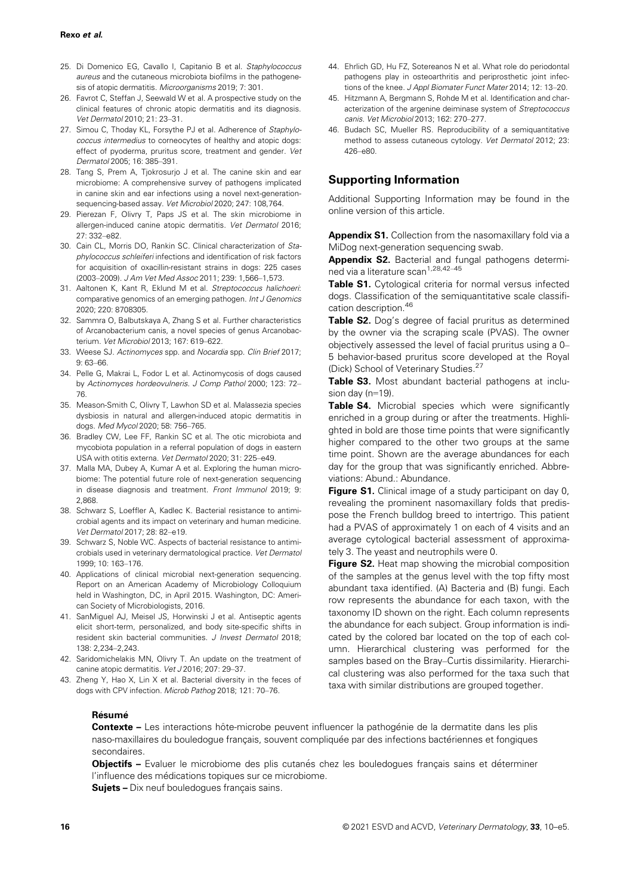- 25. Di Domenico EG, Cavallo I, Capitanio B et al. Staphylococcus aureus and the cutaneous microbiota biofilms in the pathogenesis of atopic dermatitis. Microorganisms 2019; 7: 301.
- 26. Favrot C, Steffan J, Seewald W et al. A prospective study on the clinical features of chronic atopic dermatitis and its diagnosis. Vet Dermatol 2010; 21: 23–31.
- 27. Simou C, Thoday KL, Forsythe PJ et al. Adherence of Staphylococcus intermedius to corneocytes of healthy and atopic dogs: effect of pyoderma, pruritus score, treatment and gender. Vet Dermatol 2005; 16: 385–391.
- 28. Tang S, Prem A, Tjokrosurjo J et al. The canine skin and ear microbiome: A comprehensive survey of pathogens implicated in canine skin and ear infections using a novel next-generationsequencing-based assay. Vet Microbiol 2020; 247: 108,764.
- 29. Pierezan F, Olivry T, Paps JS et al. The skin microbiome in allergen-induced canine atopic dermatitis. Vet Dermatol 2016; 27: 332–e82.
- 30. Cain CL, Morris DO, Rankin SC. Clinical characterization of Staphylococcus schleiferi infections and identification of risk factors for acquisition of oxacillin-resistant strains in dogs: 225 cases (2003–2009). J Am Vet Med Assoc 2011; 239: 1,566–1,573.
- 31. Aaltonen K, Kant R, Eklund M et al. Streptococcus halichoeri: comparative genomics of an emerging pathogen. Int J Genomics 2020; 220: 8708305.
- 32. Sammra O, Balbutskaya A, Zhang S et al. Further characteristics of Arcanobacterium canis, a novel species of genus Arcanobacterium. Vet Microbiol 2013; 167: 619–622.
- 33. Weese SJ. Actinomyces spp. and Nocardia spp. Clin Brief 2017; 9: 63–66.
- 34. Pelle G, Makrai L, Fodor L et al. Actinomycosis of dogs caused by Actinomyces hordeovulneris. J Comp Pathol 2000; 123: 72– 76.
- 35. Meason-Smith C, Olivry T, Lawhon SD et al. Malassezia species dysbiosis in natural and allergen-induced atopic dermatitis in dogs. Med Mycol 2020; 58: 756–765.
- 36. Bradley CW, Lee FF, Rankin SC et al. The otic microbiota and mycobiota population in a referral population of dogs in eastern USA with otitis externa. Vet Dermatol 2020; 31: 225–e49.
- 37. Malla MA, Dubey A, Kumar A et al. Exploring the human microbiome: The potential future role of next-generation sequencing in disease diagnosis and treatment. Front Immunol 2019; 9: 2,868.
- 38. Schwarz S, Loeffler A, Kadlec K. Bacterial resistance to antimicrobial agents and its impact on veterinary and human medicine. Vet Dermatol 2017; 28: 82–e19.
- 39. Schwarz S, Noble WC. Aspects of bacterial resistance to antimicrobials used in veterinary dermatological practice. Vet Dermatol 1999; 10: 163–176.
- 40. Applications of clinical microbial next-generation sequencing. Report on an American Academy of Microbiology Colloquium held in Washington, DC, in April 2015. Washington, DC: American Society of Microbiologists, 2016.
- 41. SanMiguel AJ, Meisel JS, Horwinski J et al. Antiseptic agents elicit short-term, personalized, and body site-specific shifts in resident skin bacterial communities. J Invest Dermatol 2018; 138: 2,234–2,243.
- 42. Saridomichelakis MN, Olivry T. An update on the treatment of canine atopic dermatitis. Vet J 2016; 207: 29–37.
- 43. Zheng Y, Hao X, Lin X et al. Bacterial diversity in the feces of dogs with CPV infection. Microb Pathog 2018; 121: 70–76.
- 44. Ehrlich GD, Hu FZ, Sotereanos N et al. What role do periodontal pathogens play in osteoarthritis and periprosthetic joint infections of the knee. J Appl Biomater Funct Mater 2014; 12: 13–20.
- 45. Hitzmann A, Bergmann S, Rohde M et al. Identification and characterization of the argenine deiminase system of Streptococcus canis. Vet Microbiol 2013; 162: 270–277.
- 46. Budach SC, Mueller RS. Reproducibility of a semiquantitative method to assess cutaneous cytology. Vet Dermatol 2012; 23: 426–e80.

# Supporting Information

Additional Supporting Information may be found in the online version of this article.

Appendix S1. Collection from the nasomaxillary fold via a MiDog next-generation sequencing swab.

Appendix S2. Bacterial and fungal pathogens determined via a literature scan<sup>1,28,42-45</sup>

Table S1. Cytological criteria for normal versus infected dogs. Classification of the semiquantitative scale classification description.<sup>46</sup>

Table S2. Dog's degree of facial pruritus as determined by the owner via the scraping scale (PVAS). The owner objectively assessed the level of facial pruritus using a 0– 5 behavior-based pruritus score developed at the Royal (Dick) School of Veterinary Studies.<sup>27</sup>

Table S3. Most abundant bacterial pathogens at inclusion day (n=19).

Table S4. Microbial species which were significantly enriched in a group during or after the treatments. Highlighted in bold are those time points that were significantly higher compared to the other two groups at the same time point. Shown are the average abundances for each day for the group that was significantly enriched. Abbreviations: Abund.: Abundance.

Figure S1. Clinical image of a study participant on day 0, revealing the prominent nasomaxillary folds that predispose the French bulldog breed to intertrigo. This patient had a PVAS of approximately 1 on each of 4 visits and an average cytological bacterial assessment of approximately 3. The yeast and neutrophils were 0.

Figure S2. Heat map showing the microbial composition of the samples at the genus level with the top fifty most abundant taxa identified. (A) Bacteria and (B) fungi. Each row represents the abundance for each taxon, with the taxonomy ID shown on the right. Each column represents the abundance for each subject. Group information is indicated by the colored bar located on the top of each column. Hierarchical clustering was performed for the samples based on the Bray–Curtis dissimilarity. Hierarchical clustering was also performed for the taxa such that taxa with similar distributions are grouped together.

#### Résumé

Contexte – Les interactions hôte-microbe peuvent influencer la pathogénie de la dermatite dans les plis naso-maxillaires du bouledoque francais, souvent compliquée par des infections bactériennes et fongiques secondaires.

Objectifs - Evaluer le microbiome des plis cutanés chez les bouledogues français sains et déterminer l'influence des médications topiques sur ce microbiome.

Sujets - Dix neuf bouledogues français sains.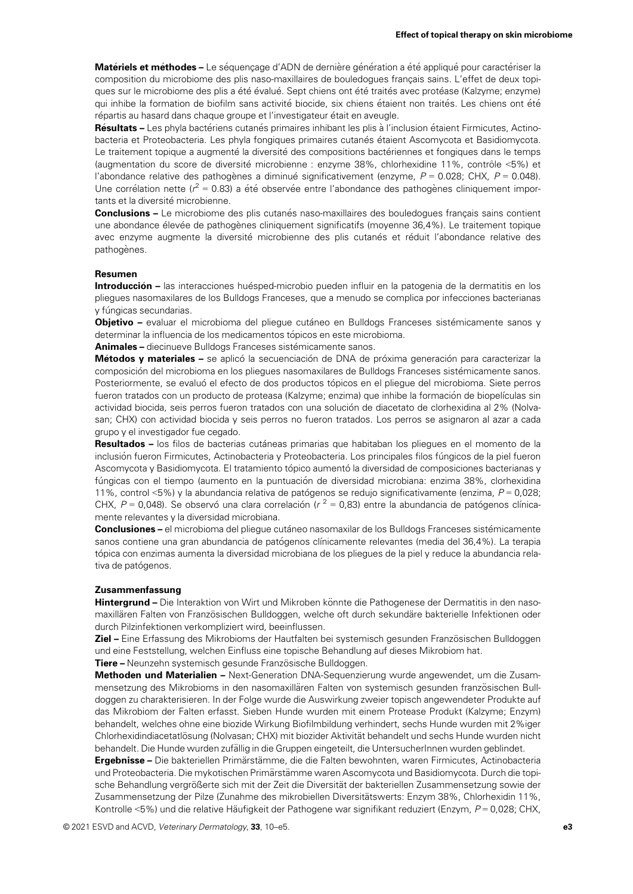Matériels et méthodes – Le séquençage d'ADN de dernière génération a été appliqué pour caractériser la composition du microbiome des plis naso-maxillaires de bouledogues francais sains. L'effet de deux topiques sur le microbiome des plis a été évalué. Sept chiens ont été traités avec protéase (Kalzyme; enzyme) qui inhibe la formation de biofilm sans activité biocide, six chiens étaient non traités. Les chiens ont été répartis au hasard dans chaque groupe et l'investigateur était en aveugle.

Résultats – Les phyla bactériens cutanés primaires inhibant les plis à l'inclusion étaient Firmicutes, Actinobacteria et Proteobacteria. Les phyla fongiques primaires cutanés étaient Ascomycota et Basidiomycota. Le traitement topique a augmenté la diversité des compositions bactériennes et fongiques dans le temps (augmentation du score de diversité microbienne : enzyme 38%, chlorhexidine 11%, contrôle <5%) et l'abondance relative des pathogènes a diminué significativement (enzyme,  $P = 0.028$ ; CHX,  $P = 0.048$ ). Une corrélation nette ( $r^2$  = 0.83) a été observée entre l'abondance des pathogènes cliniquement importants et la diversité microbienne.

**Conclusions –** Le microbiome des plis cutanés naso-maxillaires des bouledogues français sains contient une abondance élevée de pathogènes cliniquement significatifs (moyenne 36,4%). Le traitement topique avec enzyme augmente la diversité microbienne des plis cutanés et réduit l'abondance relative des pathogènes.

#### Resumen

Introducción – las interacciones huésped-microbio pueden influir en la patogenia de la dermatitis en los pliegues nasomaxilares de los Bulldogs Franceses, que a menudo se complica por infecciones bacterianas v fúngicas secundarias.

**Objetivo** – evaluar el microbioma del pliegue cutáneo en Bulldogs Franceses sistémicamente sanos v determinar la influencia de los medicamentos tópicos en este microbioma.

Animales - diecinueve Bulldogs Franceses sistémicamente sanos.

Métodos y materiales – se aplicó la secuenciación de DNA de próxima generación para caracterizar la composición del microbioma en los pliegues nasomaxilares de Bulldogs Franceses sistémicamente sanos. Posteriormente, se evaluó el efecto de dos productos tópicos en el pliegue del microbioma. Siete perros fueron tratados con un producto de proteasa (Kalzyme; enzima) que inhibe la formación de biopelículas sin actividad biocida, seis perros fueron tratados con una solución de diacetato de clorhexidina al 2% (Nolvasan; CHX) con actividad biocida y seis perros no fueron tratados. Los perros se asignaron al azar a cada grupo y el investigador fue cegado.

Resultados – los filos de bacterias cutáneas primarias que habitaban los pliegues en el momento de la inclusión fueron Firmicutes, Actinobacteria y Proteobacteria. Los principales filos fúngicos de la piel fueron Ascomycota y Basidiomycota. El tratamiento tópico aumentó la diversidad de composiciones bacterianas y fúngicas con el tiempo (aumento en la puntuación de diversidad microbiana: enzima 38%, clorhexidina 11%, control <5%) y la abundancia relativa de patógenos se redujo significativamente (enzima,  $P = 0.028$ ; CHX,  $P = 0.048$ ). Se observó una clara correlación ( $r^2 = 0.83$ ) entre la abundancia de patógenos clínicamente relevantes y la diversidad microbiana.

Conclusiones – el microbioma del pliegue cutáneo nasomaxilar de los Bulldogs Franceses sistémicamente sanos contiene una gran abundancia de patógenos clínicamente relevantes (media del 36,4%). La terapia tópica con enzimas aumenta la diversidad microbiana de los pliegues de la piel y reduce la abundancia relativa de patógenos.

#### Zusammenfassung

Hintergrund – Die Interaktion von Wirt und Mikroben könnte die Pathogenese der Dermatitis in den nasomaxillären Falten von Französischen Bulldoggen, welche oft durch sekundäre bakterielle Infektionen oder durch Pilzinfektionen verkompliziert wird, beeinflussen.

Ziel – Eine Erfassung des Mikrobioms der Hautfalten bei systemisch gesunden Französischen Bulldoggen und eine Feststellung, welchen Einfluss eine topische Behandlung auf dieses Mikrobiom hat.

Tiere – Neunzehn systemisch gesunde Französische Bulldoggen.

Methoden und Materialien – Next-Generation DNA-Sequenzierung wurde angewendet, um die Zusammensetzung des Mikrobioms in den nasomaxillären Falten von systemisch gesunden französischen Bulldoggen zu charakterisieren. In der Folge wurde die Auswirkung zweier topisch angewendeter Produkte auf das Mikrobiom der Falten erfasst. Sieben Hunde wurden mit einem Protease Produkt (Kalzyme; Enzym) behandelt, welches ohne eine biozide Wirkung Biofilmbildung verhindert, sechs Hunde wurden mit 2%iger Chlorhexidindiacetatlösung (Nolvasan; CHX) mit biozider Aktivität behandelt und sechs Hunde wurden nicht behandelt. Die Hunde wurden zufällig in die Gruppen eingeteilt, die UntersucherInnen wurden geblindet.

Ergebnisse – Die bakteriellen Primärstämme, die die Falten bewohnten, waren Firmicutes, Actinobacteria und Proteobacteria. Die mykotischen Primärstämme waren Ascomycota und Basidiomycota. Durch die topische Behandlung vergrößerte sich mit der Zeit die Diversität der bakteriellen Zusammensetzung sowie der Zusammensetzung der Pilze (Zunahme des mikrobiellen Diversitätswerts: Enzym 38%, Chlorhexidin 11%, Kontrolle <5%) und die relative Häufigkeit der Pathogene war signifikant reduziert (Enzym, P = 0,028; CHX,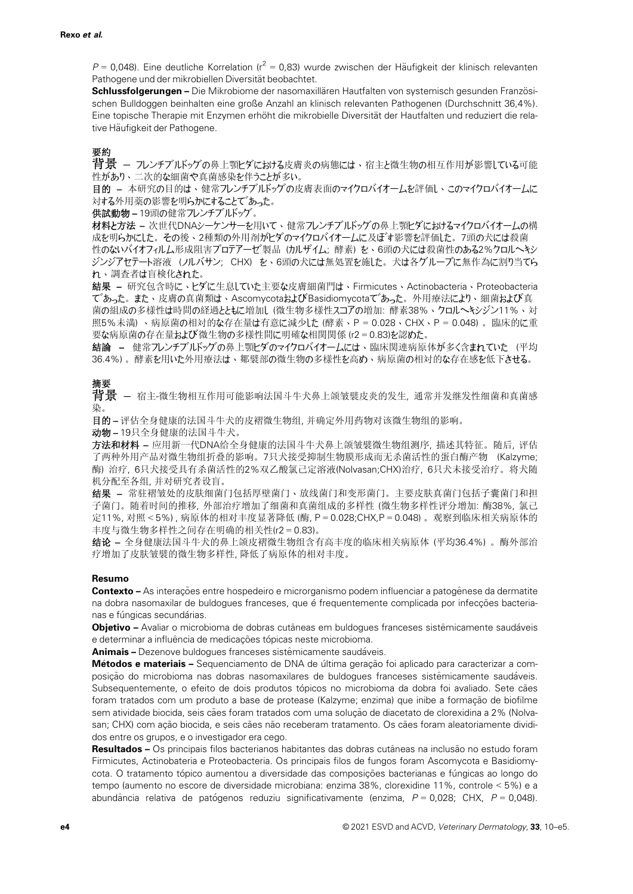$P = 0.048$ ). Eine deutliche Korrelation ( $r^2 = 0.83$ ) wurde zwischen der Häufigkeit der klinisch relevanten Pathogene und der mikrobiellen Diversität beobachtet.

Schlussfolgerungen – Die Mikrobiome der nasomaxillären Hautfalten von systemisch gesunden Französischen Bulldoggen beinhalten eine große Anzahl an klinisch relevanten Pathogenen (Durchschnitt 36,4%). Eine topische Therapie mit Enzymen erhöht die mikrobielle Diversität der Hautfalten und reduziert die relative Häufigkeit der Pathogene.

# 要約

背景 – フレンチブルドッグの鼻上顎ヒダにおける皮膚炎の病態には、宿主と微生物の相互作用が影響している可<sup>能</sup> 性があり、二次的な細菌や真菌感染を伴うことが多い。

目的 – 本研究の目的は、健常フレンチブルドッグの皮膚表面のマイクロバイオームを評価し、このマイクロバイオームに 対する外用薬の影響を明らかにすることであった。

供試動物 – 19頭の健常フレンチブルドッグ。

材料と方法 – 次世代DNAシーケンサーを用いて、健常フレンチブルドッグの鼻上顎ヒダにおけるマイクロバイオームの構 成を明らかにした。その後、2種類の外用剤がヒダのマイクロバイオームに及ぼす影響を評価した。7頭の犬には殺菌 性のないバイオフィルム形成阻害プロテアーゼ製品 (カルザイム; 酵素) を、6頭の犬には殺菌性のある2%クロルヘキシ ジンジアセテート溶液 (ノルバサン; CHX) を、6頭の犬には無処置を施した。犬は各グループに無作為に割り当てら れ、調査者は盲検化された。

結果 – 研究包含時に、ヒダに生息していた主要な皮膚細菌門は、Firmicutes、Actinobacteria、Proteobacteria であった。また、皮膚の真菌類は、AscomycotaおよびBasidiomycotaであった。外用療法により、細菌および真 菌の組成の多様性は時間の経過とともに増加し (微生物多様性スコアの増加: 酵素38%、クロルヘキシジン11%、対 照5%未満) 、病原菌の相対的な存在量は有意に減少した (酵素、P = 0.028、CHX、P = 0.048) 。臨床的に重 要な病原菌の存在量および微生物の多様性間に明確な相関関係 (r2 = 0.83)を認めた。

結論 – 健常フレンチブルドッグの鼻上顎ヒダのマイクロバイオームには、臨床関連病原体が多く含まれていた (平均 36.4%) 。酵素を用いた外用療法は、鄒襞部の微生物の多様性を高め、病原菌の相対的な存在感を低下させる。

# 摘要

背景 – <sup>宿</sup>主-微生物相互作用可能影响法国斗牛犬鼻上颌皱襞皮炎的发生, <sup>通</sup>常并发继发性细菌和真菌<sup>感</sup> 染。

目的 – 评估全身健康的法国斗牛犬的皮褶微生物组, 并确定外用药物对该微生物组的影响。

动物 – 19只全身健康的法国斗牛犬。

方法和材料 – 应用新一代DNA给全身健康的法国斗牛犬鼻上颌皱襞微生物组测序, 描述其特征。随后, 评估 了两种外用产品对微生物组折叠的影响。7只犬接受抑制生物膜形成而无杀菌活性的蛋白酶产物 (Kalzyme; 酶) 治疗, 6只犬接受具有杀菌活性的2%双乙酸氯己定溶液(Nolvasan;CHX)治疗, 6只犬未接受治疗。将犬随 机分配至各组, 并对研究者设盲。

结果 – 常驻褶皱处的皮肤细菌门包括厚壁菌门、放线菌门和变形菌门。主要皮肤真菌门包括子囊菌门和担 子菌门。随着时间的推移, 外部治疗增加了细菌和真菌组成的多样性 (微生物多样性评分增加: 酶38%, 氯己 定11%, 对照 < 5%) , 病原体的相对丰度显著降低 (酶, P = 0.028;CHX,P = 0.048) 。观察到临床相关病原体的 丰度与微生物多样性之间存在明确的相关性(r2 = 0.83)。

结论 – 全身健康法国斗牛犬的鼻上颌皮褶微生物组含有高丰度的临床相关病原体 (平均36.4%) 。酶外部治 疗增加了皮肤皱襞的微生物多样性, 降低了病原体的相对丰度。

## Resumo

Contexto – As interações entre hospedeiro e microrganismo podem influenciar a patogênese da dermatite na dobra nasomaxilar de buldogues franceses, que é frequentemente complicada por infecções bacterianas e fúngicas secundárias.

**Objetivo –** Avaliar o microbioma de dobras cutâneas em buldogues franceses sistêmicamente saudáveis e determinar a influência de medicações tópicas neste microbioma.

Animais – Dezenove buldoques franceses sistêmicamente saudáveis.

Métodos e materiais - Sequenciamento de DNA de última geração foi aplicado para caracterizar a composição do microbioma nas dobras nasomaxilares de buldogues franceses sistêmicamente saudáveis. Subsequentemente, o efeito de dois produtos tópicos no microbioma da dobra foi avaliado. Sete cães foram tratados com um produto a base de protease (Kalzyme; enzima) que inibe a formação de biofilme sem atividade biocida, seis cães foram tratados com uma solucão de diacetato de clorexidina a 2% (Nolvasan; CHX) com ação biocida, e seis cães não receberam tratamento. Os cães foram aleatoriamente divididos entre os grupos, e o investigador era cego.

Resultados – Os principais filos bacterianos habitantes das dobras cutâneas na inclusão no estudo foram Firmicutes, Actinobateria e Proteobacteria. Os principais filos de fungos foram Ascomycota e Basidiomycota. O tratamento tópico aumentou a diversidade das composições bacterianas e fúngicas ao longo do tempo (aumento no escore de diversidade microbiana: enzima 38%, clorexidine 11%, controle < 5%) e a abundância relativa de patógenos reduziu significativamente (enzima,  $P = 0.028$ ; CHX,  $P = 0.048$ ).